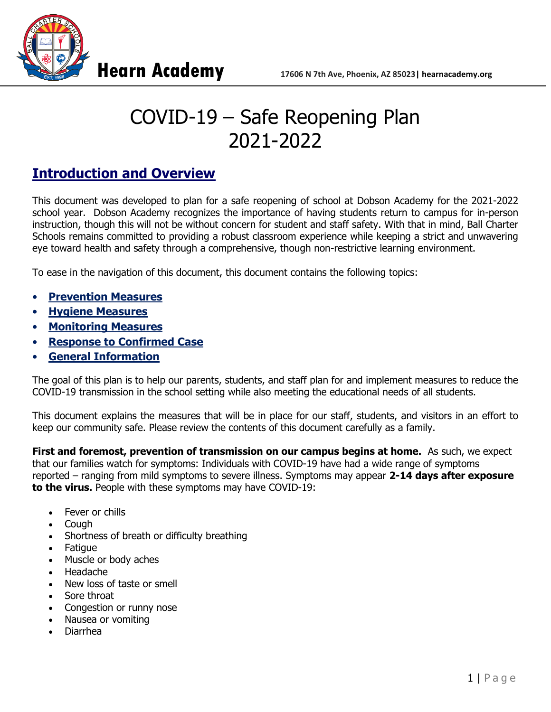



# COVID-19 – Safe Reopening Plan 2021-2022

# **Introduction and Overview**

This document was developed to plan for a safe reopening of school at Dobson Academy for the 2021-2022 school year. Dobson Academy recognizes the importance of having students return to campus for in-person instruction, though this will not be without concern for student and staff safety. With that in mind, Ball Charter Schools remains committed to providing a robust classroom experience while keeping a strict and unwavering eye toward health and safety through a comprehensive, though non-restrictive learning environment.

To ease in the navigation of this document, this document contains the following topics:

- **[Prevention](#page-1-0) Measures**
- **[Hygiene Measures](#page-2-0)**
- **[Monitoring Measures](#page-2-1)**
- **[Response to Confirmed Case](#page-3-0)**
- **[General Information](#page-3-1)**

The goal of this plan is to help our parents, students, and staff plan for and implement measures to reduce the COVID-19 transmission in the school setting while also meeting the educational needs of all students.

This document explains the measures that will be in place for our staff, students, and visitors in an effort to keep our community safe. Please review the contents of this document carefully as a family.

**First and foremost, prevention of transmission on our campus begins at home.** As such, we expect that our families watch for symptoms: Individuals with COVID-19 have had a wide range of symptoms reported – ranging from mild symptoms to severe illness. Symptoms may appear **2-14 days after exposure to the virus.** People with these symptoms may have COVID-19:

- Fever or chills
- Cough
- Shortness of breath or difficulty breathing
- **Fatigue**
- Muscle or body aches
- Headache
- New loss of taste or smell
- Sore throat
- Congestion or runny nose
- Nausea or vomiting
- Diarrhea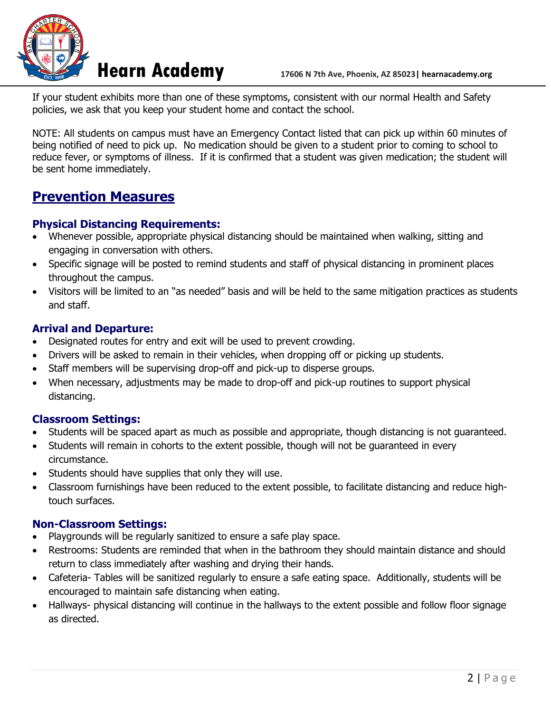

If your student exhibits more than one of these symptoms, consistent with our normal Health and Safety policies, we ask that you keep your student home and contact the school.

NOTE: All students on campus must have an Emergency Contact listed that can pick up within 60 minutes of being notified of need to pick up. No medication should be given to a student prior to coming to school to reduce fever, or symptoms of illness. If it is confirmed that a student was given medication; the student will be sent home immediately.

## <span id="page-1-0"></span>**Prevention Measures**

### **Physical Distancing Requirements:**

- Whenever possible, appropriate physical distancing should be maintained when walking, sitting and engaging in conversation with others.
- Specific signage will be posted to remind students and staff of physical distancing in prominent places throughout the campus.
- Visitors will be limited to an "as needed" basis and will be held to the same mitigation practices as students and staff.

### **Arrival and Departure:**

- Designated routes for entry and exit will be used to prevent crowding.
- Drivers will be asked to remain in their vehicles, when dropping off or picking up students.
- Staff members will be supervising drop-off and pick-up to disperse groups.
- When necessary, adjustments may be made to drop-off and pick-up routines to support physical distancing.

#### **Classroom Settings:**

- Students will be spaced apart as much as possible and appropriate, though distancing is not guaranteed.
- Students will remain in cohorts to the extent possible, though will not be guaranteed in every circumstance.
- Students should have supplies that only they will use.
- Classroom furnishings have been reduced to the extent possible, to facilitate distancing and reduce hightouch surfaces.

#### **Non-Classroom Settings:**

- Playgrounds will be regularly sanitized to ensure a safe play space.
- Restrooms: Students are reminded that when in the bathroom they should maintain distance and should return to class immediately after washing and drying their hands.
- Cafeteria- Tables will be sanitized regularly to ensure a safe eating space. Additionally, students will be encouraged to maintain safe distancing when eating.
- Hallways- physical distancing will continue in the hallways to the extent possible and follow floor signage as directed.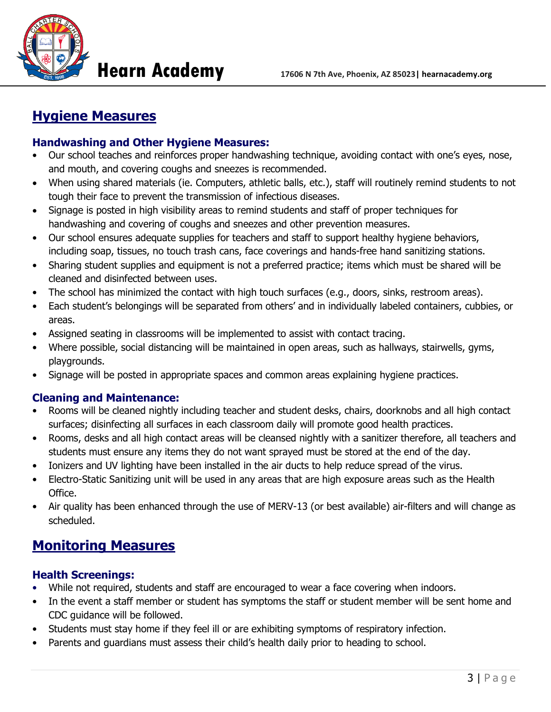

# <span id="page-2-0"></span>**Hygiene Measures**

### **Handwashing and Other Hygiene Measures:**

- Our school teaches and reinforces proper handwashing technique, avoiding contact with one's eyes, nose, and mouth, and covering coughs and sneezes is recommended.
- When using shared materials (ie. Computers, athletic balls, etc.), staff will routinely remind students to not tough their face to prevent the transmission of infectious diseases.
- Signage is posted in high visibility areas to remind students and staff of proper techniques for handwashing and covering of coughs and sneezes and other prevention measures.
- Our school ensures adequate supplies for teachers and staff to support healthy hygiene behaviors, including soap, tissues, no touch trash cans, face coverings and hands-free hand sanitizing stations.
- Sharing student supplies and equipment is not a preferred practice; items which must be shared will be cleaned and disinfected between uses.
- The school has minimized the contact with high touch surfaces (e.g., doors, sinks, restroom areas).
- Each student's belongings will be separated from others' and in individually labeled containers, cubbies, or areas.
- Assigned seating in classrooms will be implemented to assist with contact tracing.
- Where possible, social distancing will be maintained in open areas, such as hallways, stairwells, gyms, playgrounds.
- Signage will be posted in appropriate spaces and common areas explaining hygiene practices.

#### **Cleaning and Maintenance:**

- Rooms will be cleaned nightly including teacher and student desks, chairs, doorknobs and all high contact surfaces; disinfecting all surfaces in each classroom daily will promote good health practices.
- Rooms, desks and all high contact areas will be cleansed nightly with a sanitizer therefore, all teachers and students must ensure any items they do not want sprayed must be stored at the end of the day.
- Ionizers and UV lighting have been installed in the air ducts to help reduce spread of the virus.
- Electro-Static Sanitizing unit will be used in any areas that are high exposure areas such as the Health Office.
- Air quality has been enhanced through the use of MERV-13 (or best available) air-filters and will change as scheduled.

# <span id="page-2-1"></span>**Monitoring Measures**

### **Health Screenings:**

- While not required, students and staff are encouraged to wear a face covering when indoors.
- In the event a staff member or student has symptoms the staff or student member will be sent home and CDC guidance will be followed.
- Students must stay home if they feel ill or are exhibiting symptoms of respiratory infection.
- Parents and guardians must assess their child's health daily prior to heading to school.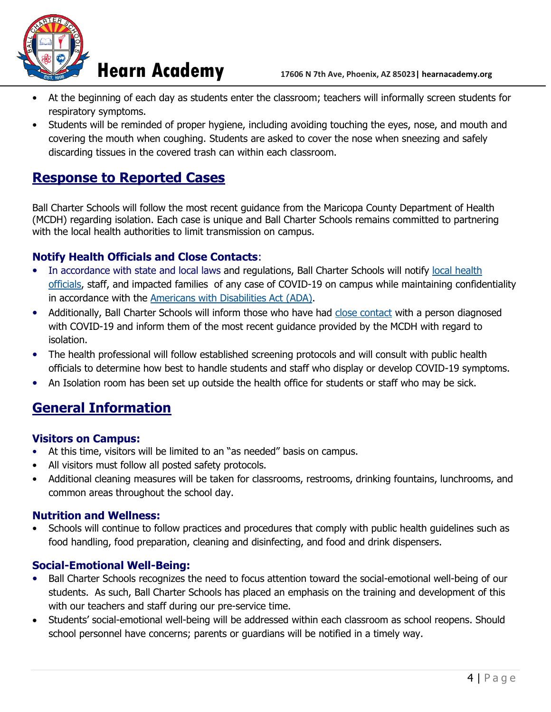

- At the beginning of each day as students enter the classroom; teachers will informally screen students for respiratory symptoms.
- Students will be reminded of proper hygiene, including avoiding touching the eyes, nose, and mouth and covering the mouth when coughing. Students are asked to cover the nose when sneezing and safely discarding tissues in the covered trash can within each classroom.

# <span id="page-3-0"></span>**Response to Reported Cases**

Ball Charter Schools will follow the most recent guidance from the Maricopa County Department of Health (MCDH) regarding isolation. Each case is unique and Ball Charter Schools remains committed to partnering with the local health authorities to limit transmission on campus.

### **Notify Health Officials and Close Contacts**:

- In accordance with state and local laws and regulations, Ball Charter Schools will notify local health [officials,](https://www.cdc.gov/publichealthgateway/healthdirectories/index.html) staff, and impacted families of any case of COVID-19 on campus while maintaining confidentiality in accordance with the [Americans with Disabilities Act \(ADA\).](https://www.eeoc.gov/facts/pandemic_flu.html)
- Additionally, Ball Charter Schools will inform those who have had [close contact](https://www.cdc.gov/coronavirus/2019-ncov/php/public-health-recommendations.html) with a person diagnosed with COVID-19 and inform them of the most recent guidance provided by the MCDH with regard to isolation.
- The health professional will follow established screening protocols and will consult with public health officials to determine how best to handle students and staff who display or develop COVID-19 symptoms.
- An Isolation room has been set up outside the health office for students or staff who may be sick.

# <span id="page-3-1"></span>**General Information**

#### **Visitors on Campus:**

- At this time, visitors will be limited to an "as needed" basis on campus.
- All visitors must follow all posted safety protocols.
- Additional cleaning measures will be taken for classrooms, restrooms, drinking fountains, lunchrooms, and common areas throughout the school day.

#### **Nutrition and Wellness:**

• Schools will continue to follow practices and procedures that comply with public health guidelines such as food handling, food preparation, cleaning and disinfecting, and food and drink dispensers.

#### **Social-Emotional Well-Being:**

- Ball Charter Schools recognizes the need to focus attention toward the social-emotional well-being of our students. As such, Ball Charter Schools has placed an emphasis on the training and development of this with our teachers and staff during our pre-service time.
- Students' social-emotional well-being will be addressed within each classroom as school reopens. Should school personnel have concerns; parents or guardians will be notified in a timely way.